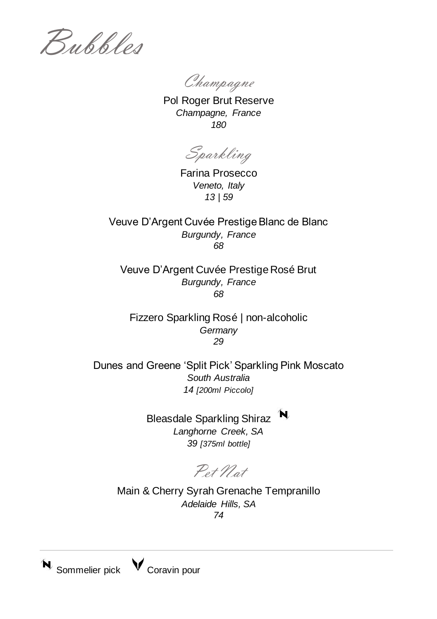Bubbles

Champagne

Pol Roger Brut Reserve *Champagne, France 180*

Sparkling

Farina Prosecco *Veneto, Italy 13 | 59*

Veuve D'Argent Cuvée Prestige Blanc de Blanc *Burgundy, France 68*

Veuve D'Argent Cuvée Prestige Rosé Brut *Burgundy, France 68*

Fizzero Sparkling Rosé | non-alcoholic *Germany 29*

Dunes and Greene 'Split Pick' Sparkling Pink Moscato *South Australia 14 [200ml Piccolo]*

> Bleasdale Sparkling Shiraz *Langhorne Creek, SA 39 [375ml bottle]*

Pet Nat

Main & Cherry Syrah Grenache Tempranillo *Adelaide Hills, SA 74*

 $N$  Sommelier pick  $N$  Coravin pour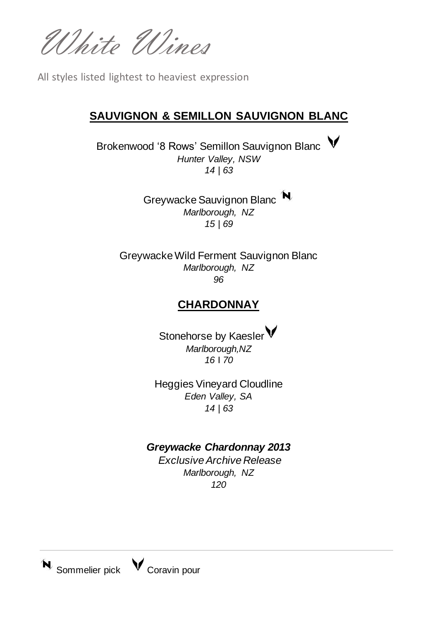White Wines

All styles listed lightest to heaviest expression

### **SAUVIGNON & SEMILLON SAUVIGNON BLANC**

Brokenwood '8 Rows' Semillon Sauvignon Blanc V *Hunter Valley, NSW 14 | 63*

> Greywacke Sauvignon Blanc<sup>N</sup> *Marlborough, NZ 15 | 69*

Greywacke Wild Ferment Sauvignon Blanc *Marlborough, NZ 96*

### **CHARDONNAY**

Stonehorse by Kaesler V *Marlborough,NZ 16* I *70*

Heggies Vineyard Cloudline *Eden Valley, SA 14 | 63*

### *Greywacke Chardonnay 2013*

*Exclusive Archive Release Marlborough, NZ 120*

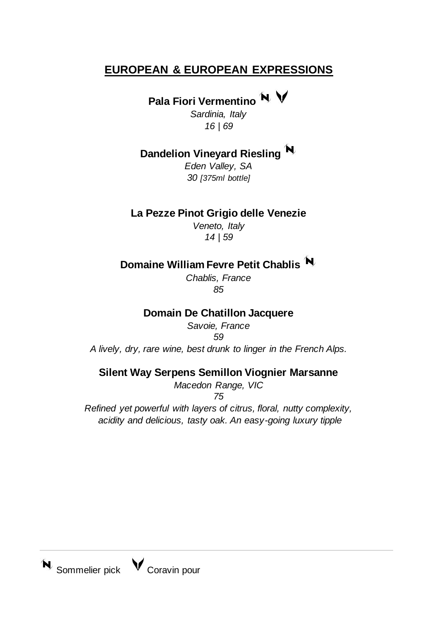## **EUROPEAN & EUROPEAN EXPRESSIONS**

# Pala Fiori Vermentino<sup>N</sup>

*Sardinia, Italy 16 | 69*

## **Dandelion Vineyard Riesling**

*Eden Valley, SA 30 [375ml bottle]*

### **La Pezze Pinot Grigio delle Venezie**

*Veneto, Italy 14 | 59*

## **Domaine William Fevre Petit Chablis**

*Chablis, France 85*

### **Domain De Chatillon Jacquere**

*Savoie, France 59*

*A lively, dry, rare wine, best drunk to linger in the French Alps.*

#### **Silent Way Serpens Semillon Viognier Marsanne**

*Macedon Range, VIC*

*75*

*Refined yet powerful with layers of citrus, floral, nutty complexity, acidity and delicious, tasty oak. An easy-going luxury tipple*

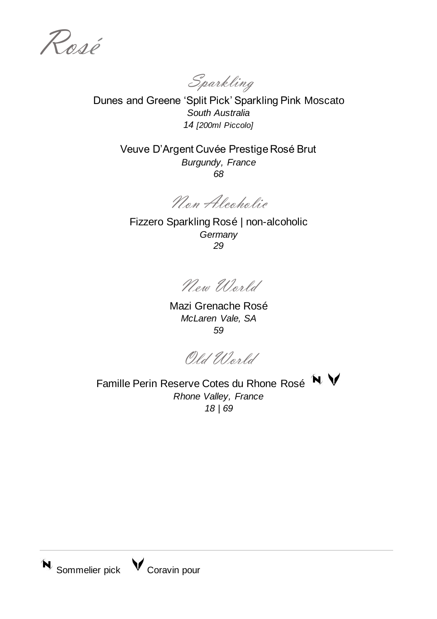Rosé

Sparkling

Dunes and Greene 'Split Pick' Sparkling Pink Moscato *South Australia 14 [200ml Piccolo]*

> Veuve D'Argent Cuvée Prestige Rosé Brut *Burgundy, France 68*

Non Alcoholic

Fizzero Sparkling Rosé | non-alcoholic *Germany 29*

Now World

Mazi Grenache Rosé *McLaren Vale, SA 59*

Old World

Famille Perin Reserve Cotes du Rhone Rosé N *Rhone Valley, France 18 | 69*

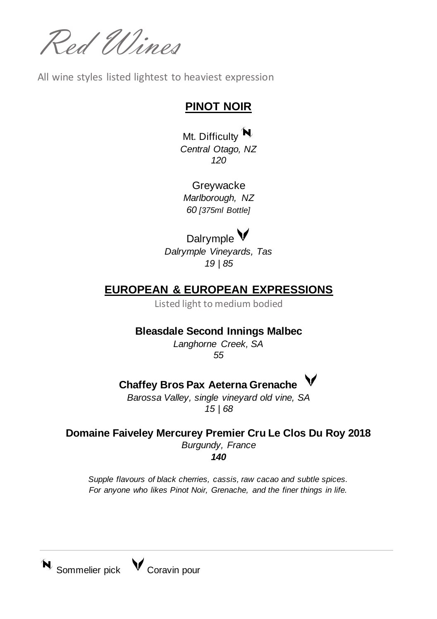Red Wines

All wine styles listed lightest to heaviest expression

### **PINOT NOIR**

Mt. Difficulty N *Central Otago, NZ 120*

Greywacke *Marlborough, NZ 60 [375ml Bottle]*

## Dalrymple  $\mathsf{V}$

*Dalrymple Vineyards, Tas 19 | 85*

## **EUROPEAN & EUROPEAN EXPRESSIONS**

Listed light to medium bodied

### **Bleasdale Second Innings Malbec**

*Langhorne Creek, SA 55*

## **Chaffey Bros Pax Aeterna Grenache**

*Barossa Valley, single vineyard old vine, SA 15 | 68*

**Domaine Faiveley Mercurey Premier Cru Le Clos Du Roy 2018** *Burgundy, France 140*

*Supple flavours of black cherries, cassis, raw cacao and subtle spices. For anyone who likes Pinot Noir, Grenache, and the finer things in life.*

 $\mathbf{N}$  Sommelier pick  $\mathbf{V}$  Coravin pour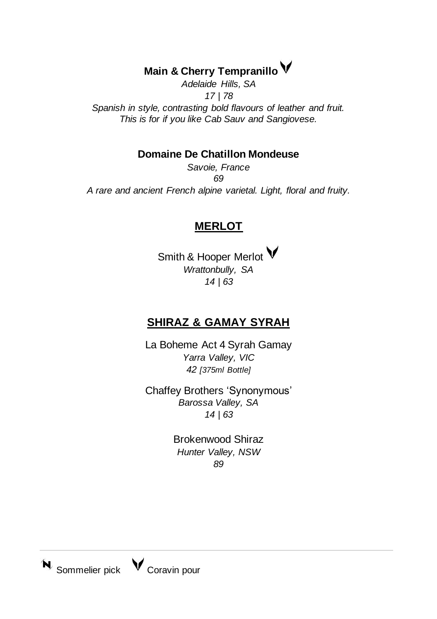## **Main & Cherry Tempranillo**

*Adelaide Hills, SA 17 | 78 Spanish in style, contrasting bold flavours of leather and fruit. This is for if you like Cab Sauv and Sangiovese.*

#### **Domaine De Chatillon Mondeuse**

*Savoie, France 69 A rare and ancient French alpine varietal. Light, floral and fruity.* 

### **MERLOT**

Smith & Hooper Merlot V *Wrattonbully, SA 14 | 63*

### **SHIRAZ & GAMAY SYRAH**

La Boheme Act 4 Syrah Gamay *Yarra Valley, VIC 42 [375ml Bottle]*

Chaffey Brothers 'Synonymous' *Barossa Valley, SA 14 | 63*

> Brokenwood Shiraz *Hunter Valley, NSW 89*